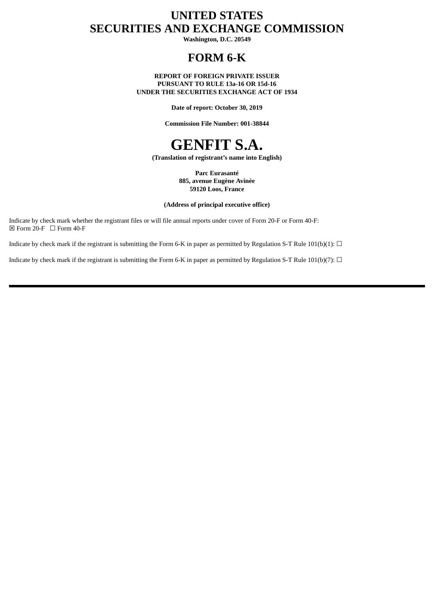# **UNITED STATES SECURITIES AND EXCHANGE COMMISSION**

**Washington, D.C. 20549**

## **FORM 6-K**

**REPORT OF FOREIGN PRIVATE ISSUER PURSUANT TO RULE 13a-16 OR 15d-16 UNDER THE SECURITIES EXCHANGE ACT OF 1934**

**Date of report: October 30, 2019**

**Commission File Number: 001-38844**



**(Translation of registrant's name into English)**

**Parc Eurasanté 885, avenue Eugène Avinée 59120 Loos, France**

#### **(Address of principal executive office)**

Indicate by check mark whether the registrant files or will file annual reports under cover of Form 20-F or Form 40-F:  $\boxtimes$  Form 20-F  $\Box$  Form 40-F

Indicate by check mark if the registrant is submitting the Form 6-K in paper as permitted by Regulation S-T Rule 101(b)(1):  $\Box$ 

Indicate by check mark if the registrant is submitting the Form 6-K in paper as permitted by Regulation S-T Rule 101(b)(7):  $\Box$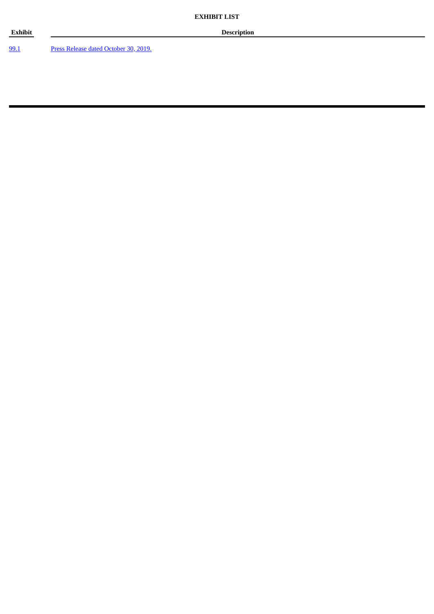99.1 Press Release dated October 30, 2019.

**Exhibit Description**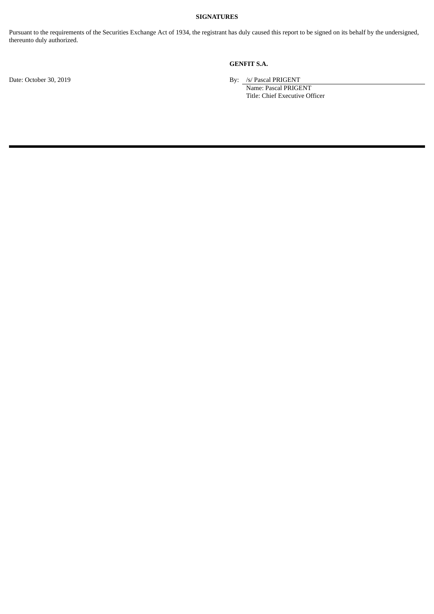#### **SIGNATURES**

Pursuant to the requirements of the Securities Exchange Act of 1934, the registrant has duly caused this report to be signed on its behalf by the undersigned, thereunto duly authorized.

### **GENFIT S.A.**

Date: October 30, 2019 By: /s/ Pascal PRIGENT

Name: Pascal PRIGENT Title: Chief Executive Officer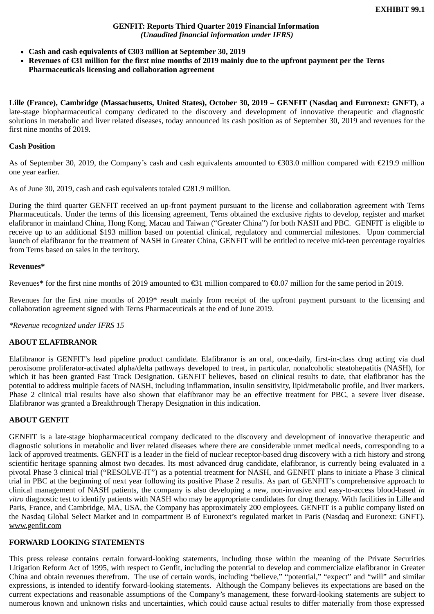#### **GENFIT: Reports Third Quarter 2019 Financial Information**  *(Unaudited financial information under IFRS)*

- **Cash and cash equivalents of €303 million at September 30, 2019**
- **Revenues of €31 million for the first nine months of 2019 mainly due to the upfront payment per the Terns Pharmaceuticals licensing and collaboration agreement**

**Lille (France), Cambridge (Massachusetts, United States), October 30, 2019 – GENFIT (Nasdaq and Euronext: GNFT)**, a late-stage biopharmaceutical company dedicated to the discovery and development of innovative therapeutic and diagnostic solutions in metabolic and liver related diseases, today announced its cash position as of September 30, 2019 and revenues for the first nine months of 2019.

#### **Cash Position**

As of September 30, 2019, the Company's cash and cash equivalents amounted to €303.0 million compared with €219.9 million one year earlier.

As of June 30, 2019, cash and cash equivalents totaled €281.9 million.

During the third quarter GENFIT received an up-front payment pursuant to the license and collaboration agreement with Terns Pharmaceuticals. Under the terms of this licensing agreement, Terns obtained the exclusive rights to develop, register and market elafibranor in mainland China, Hong Kong, Macau and Taiwan ("Greater China") for both NASH and PBC. GENFIT is eligible to receive up to an additional \$193 million based on potential clinical, regulatory and commercial milestones. Upon commercial launch of elafibranor for the treatment of NASH in Greater China, GENFIT will be entitled to receive mid-teen percentage royalties from Terns based on sales in the territory.

#### **Revenues\***

Revenues\* for the first nine months of 2019 amounted to €31 million compared to €0.07 million for the same period in 2019.

Revenues for the first nine months of 2019\* result mainly from receipt of the upfront payment pursuant to the licensing and collaboration agreement signed with Terns Pharmaceuticals at the end of June 2019.

*\*Revenue recognized under IFRS 15*

#### **ABOUT ELAFIBRANOR**

Elafibranor is GENFIT's lead pipeline product candidate. Elafibranor is an oral, once-daily, first-in-class drug acting via dual peroxisome proliferator-activated alpha/delta pathways developed to treat, in particular, nonalcoholic steatohepatitis (NASH), for which it has been granted Fast Track Designation. GENFIT believes, based on clinical results to date, that elafibranor has the potential to address multiple facets of NASH, including inflammation, insulin sensitivity, lipid/metabolic profile, and liver markers. Phase 2 clinical trial results have also shown that elafibranor may be an effective treatment for PBC, a severe liver disease. Elafibranor was granted a Breakthrough Therapy Designation in this indication.

## **ABOUT GENFIT**

GENFIT is a late-stage biopharmaceutical company dedicated to the discovery and development of innovative therapeutic and diagnostic solutions in metabolic and liver related diseases where there are considerable unmet medical needs, corresponding to a lack of approved treatments. GENFIT is a leader in the field of nuclear receptor-based drug discovery with a rich history and strong scientific heritage spanning almost two decades. Its most advanced drug candidate, elafibranor, is currently being evaluated in a pivotal Phase 3 clinical trial ("RESOLVE-IT") as a potential treatment for NASH, and GENFIT plans to initiate a Phase 3 clinical trial in PBC at the beginning of next year following its positive Phase 2 results. As part of GENFIT's comprehensive approach to clinical management of NASH patients, the company is also developing a new, non-invasive and easy-to-access blood-based *in vitro* diagnostic test to identify patients with NASH who may be appropriate candidates for drug therapy. With facilities in Lille and Paris, France, and Cambridge, MA, USA, the Company has approximately 200 employees. GENFIT is a public company listed on the Nasdaq Global Select Market and in compartment B of Euronext's regulated market in Paris (Nasdaq and Euronext: GNFT). www.genfit.com

## **FORWARD LOOKING STATEMENTS**

This press release contains certain forward-looking statements, including those within the meaning of the Private Securities Litigation Reform Act of 1995, with respect to Genfit, including the potential to develop and commercialize elafibranor in Greater China and obtain revenues therefrom. The use of certain words, including "believe," "potential," "expect" and "will" and similar expressions, is intended to identify forward-looking statements. Although the Company believes its expectations are based on the current expectations and reasonable assumptions of the Company's management, these forward-looking statements are subject to numerous known and unknown risks and uncertainties, which could cause actual results to differ materially from those expressed